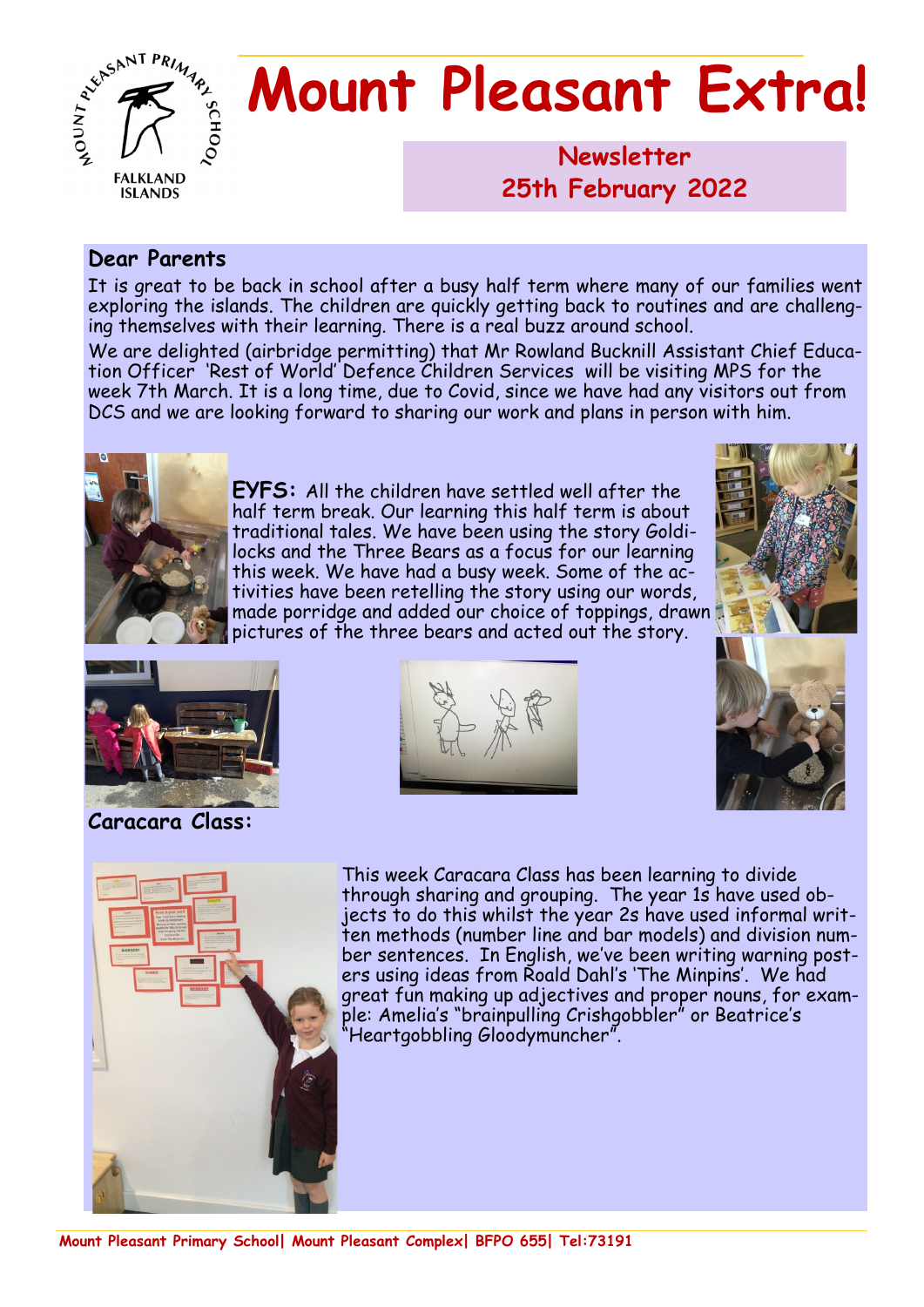

# **Mount Pleasant Extra!**

**Newsletter 1986 25th February 2022**

#### **Dear Parents**

It is great to be back in school after a busy half term where many of our families went exploring the islands. The children are quickly getting back to routines and are challenging themselves with their learning. There is a real buzz around school.

We are delighted (airbridge permitting) that Mr Rowland Bucknill Assistant Chief Education Officer 'Rest of World' Defence Children Services will be visiting MPS for the week 7th March. It is a long time, due to Covid, since we have had any visitors out from DCS and we are looking forward to sharing our work and plans in person with him.



**EYFS:** All the children have settled well after the half term break. Our learning this half term is about traditional tales. We have been using the story Goldilocks and the Three Bears as a focus for our learning this week. We have had a busy week. Some of the activities have been retelling the story using our words, made porridge and added our choice of toppings, drawn pictures of the three bears and acted out the story.





#### **Caracara Class:**







This week Caracara Class has been learning to divide through sharing and grouping. The year 1s have used objects to do this whilst the year 2s have used informal written methods (number line and bar models) and division number sentences. In English, we've been writing warning posters using ideas from Roald Dahl's 'The Minpins'. We had great fun making up adjectives and proper nouns, for example: Amelia's "brainpulling Crishgobbler" or Beatrice's "Heartgobbling Gloodymuncher".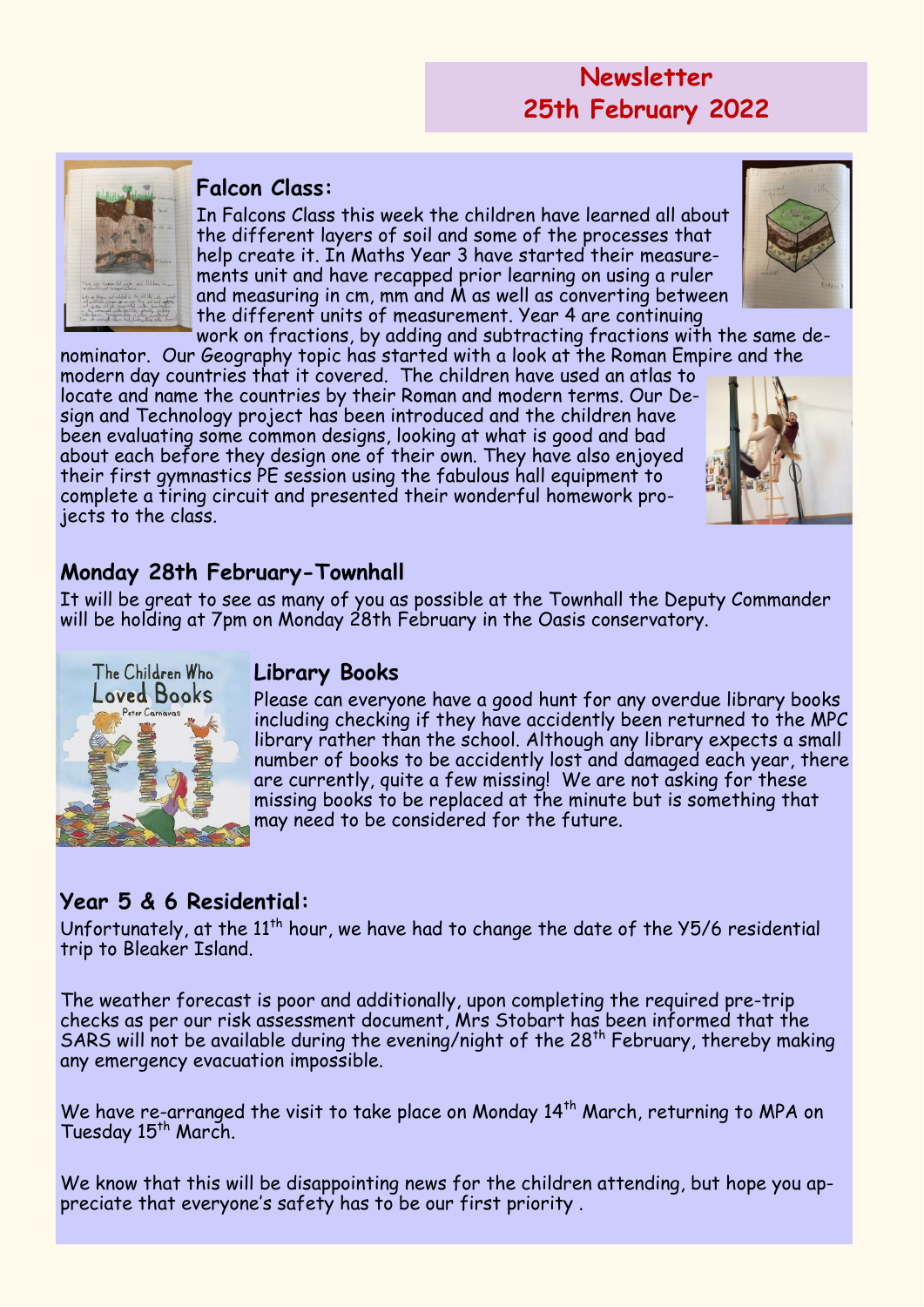## **Newsletter 25th February 2022**



#### **Falcon Class:**

In Falcons Class this week the children have learned all about the different layers of soil and some of the processes that help create it. In Maths Year 3 have started their measurements unit and have recapped prior learning on using a ruler and measuring in  $cm$ , mm and  $M$  as well as converting between the different units of measurement. Year 4 are continuing

work on fractions, by adding and subtracting fractions with the same denominator. Our Geography topic has started with a look at the Roman Empire and the

modern day countries that it covered. The children have used an atlas to locate and name the countries by their Roman and modern terms. Our Design and Technology project has been introduced and the children have been evaluating some common designs, looking at what is good and bad about each before they design one of their own. They have also enjoyed their first gymnastics PE session using the fabulous hall equipment to complete a tiring circuit and presented their wonderful homework projects to the class.



### **Monday 28th February-Townhall**

It will be great to see as many of you as possible at the Townhall the Deputy Commander will be holding at 7pm on Monday 28th February in the Oasis conservatory.



#### **Library Books**

Please can everyone have a good hunt for any overdue library books including checking if they have accidently been returned to the MPC library rather than the school. Although any library expects a small number of books to be accidently lost and damaged each year, there are currently, quite a few missing! We are not asking for these missing books to be replaced at the minute but is something that may need to be considered for the future.

#### **Year 5 & 6 Residential:**

Unfortunately, at the  $11<sup>th</sup>$  hour, we have had to change the date of the  $Y5/6$  residential trip to Bleaker Island.

The weather forecast is poor and additionally, upon completing the required pre-trip checks as per our risk assessment document, Mrs Stobart has been informed that the SARS will not be available during the evening/night of the  $28<sup>th</sup>$  February, thereby making any emergency evacuation impossible.

We have re-arranged the visit to take place on Monday  $14<sup>th</sup>$  March, returning to MPA on Tuesday 15<sup>th</sup> March.

We know that this will be disappointing news for the children attending, but hope you appreciate that everyone's safety has to be our first priority .

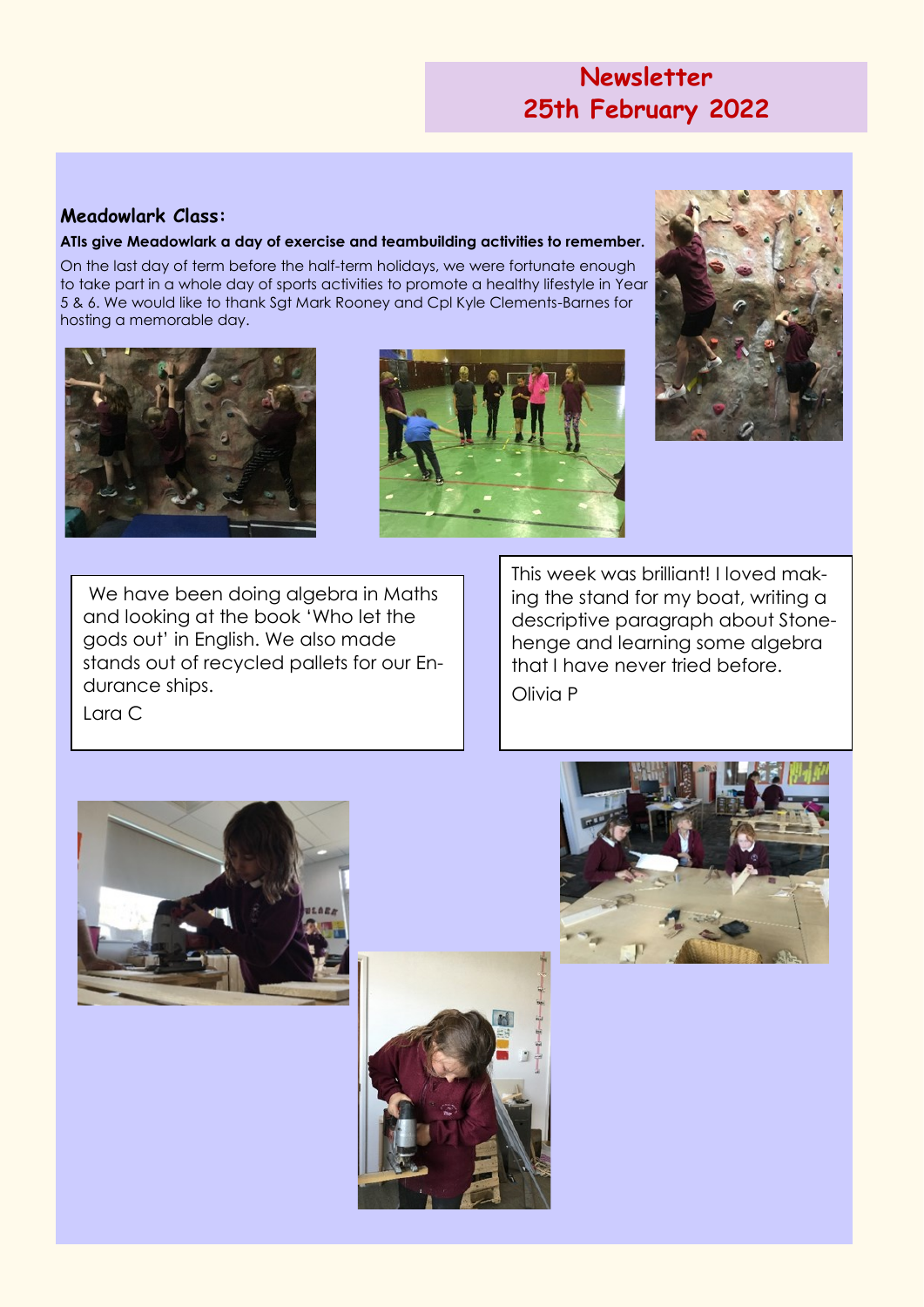## **Newsletter 25th February 2022**

#### **Meadowlark Class:**

#### **ATIs give Meadowlark a day of exercise and teambuilding activities to remember.**

On the last day of term before the half-term holidays, we were fortunate enough to take part in a whole day of sports activities to promote a healthy lifestyle in Year 5 & 6. We would like to thank Sgt Mark Rooney and Cpl Kyle Clements-Barnes for hosting a memorable day.







We have been doing algebra in Maths and looking at the book 'Who let the gods out' in English. We also made stands out of recycled pallets for our Endurance ships.

This week was brilliant! I loved making the stand for my boat, writing a descriptive paragraph about Stonehenge and learning some algebra that I have never tried before. Olivia P

Lara C